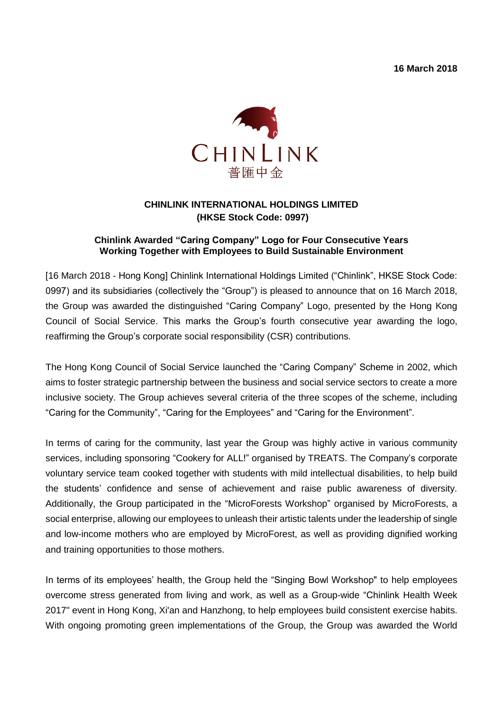**16 March 2018**



## **CHINLINK INTERNATIONAL HOLDINGS LIMITED (HKSE Stock Code: 0997)**

## **Chinlink Awarded "Caring Company" Logo for Four Consecutive Years Working Together with Employees to Build Sustainable Environment**

[16 March 2018 - Hong Kong] Chinlink International Holdings Limited ("Chinlink", HKSE Stock Code: 0997) and its subsidiaries (collectively the "Group") is pleased to announce that on 16 March 2018, the Group was awarded the distinguished "Caring Company" Logo, presented by the Hong Kong Council of Social Service. This marks the Group's fourth consecutive year awarding the logo, reaffirming the Group's corporate social responsibility (CSR) contributions.

The Hong Kong Council of Social Service launched the "Caring Company" Scheme in 2002, which aims to foster strategic partnership between the business and social service sectors to create a more inclusive society. The Group achieves several criteria of the three scopes of the scheme, including "Caring for the Community", "Caring for the Employees" and "Caring for the Environment".

In terms of caring for the community, last year the Group was highly active in various community services, including sponsoring "Cookery for ALL!" organised by TREATS. The Company's corporate voluntary service team cooked together with students with mild intellectual disabilities, to help build the students' confidence and sense of achievement and raise public awareness of diversity. Additionally, the Group participated in the "MicroForests Workshop" organised by MicroForests, a social enterprise, allowing our employees to unleash their artistic talents under the leadership of single and low-income mothers who are employed by MicroForest, as well as providing dignified working and training opportunities to those mothers.

In terms of its employees' health, the Group held the "Singing Bowl Workshop" to help employees overcome stress generated from living and work, as well as a Group-wide "Chinlink Health Week 2017" event in Hong Kong, Xi'an and Hanzhong, to help employees build consistent exercise habits. With ongoing promoting green implementations of the Group, the Group was awarded the World